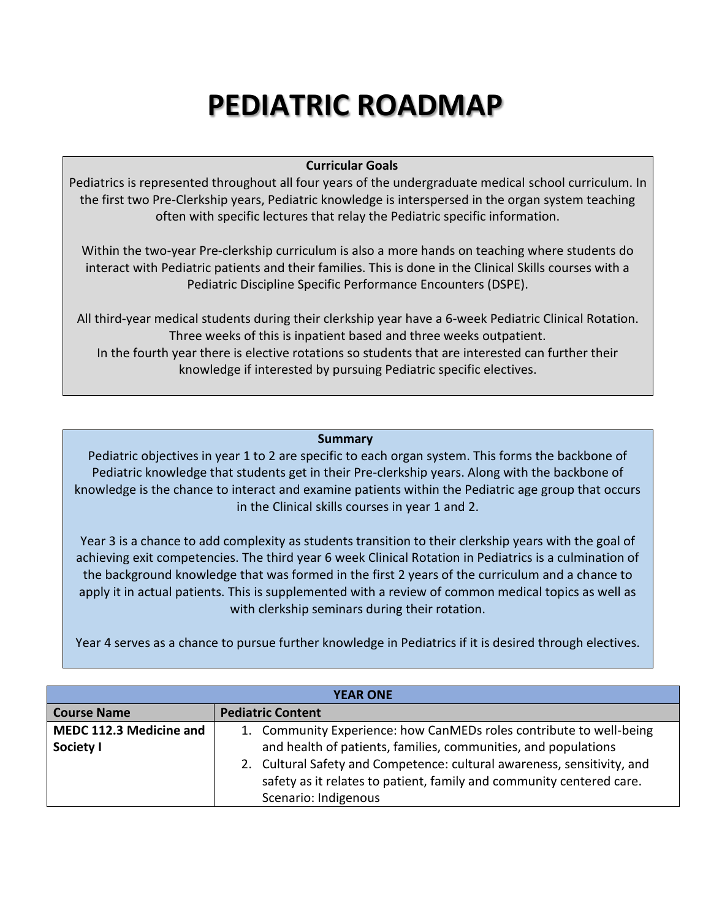## **PEDIATRIC ROADMAP**

## **Curricular Goals**

Pediatrics is represented throughout all four years of the undergraduate medical school curriculum. In the first two Pre-Clerkship years, Pediatric knowledge is interspersed in the organ system teaching often with specific lectures that relay the Pediatric specific information.

Within the two-year Pre-clerkship curriculum is also a more hands on teaching where students do interact with Pediatric patients and their families. This is done in the Clinical Skills courses with a Pediatric Discipline Specific Performance Encounters (DSPE).

All third-year medical students during their clerkship year have a 6-week Pediatric Clinical Rotation. Three weeks of this is inpatient based and three weeks outpatient. In the fourth year there is elective rotations so students that are interested can further their knowledge if interested by pursuing Pediatric specific electives.

## **Summary**

Pediatric objectives in year 1 to 2 are specific to each organ system. This forms the backbone of Pediatric knowledge that students get in their Pre-clerkship years. Along with the backbone of knowledge is the chance to interact and examine patients within the Pediatric age group that occurs in the Clinical skills courses in year 1 and 2.

Year 3 is a chance to add complexity as students transition to their clerkship years with the goal of achieving exit competencies. The third year 6 week Clinical Rotation in Pediatrics is a culmination of the background knowledge that was formed in the first 2 years of the curriculum and a chance to apply it in actual patients. This is supplemented with a review of common medical topics as well as with clerkship seminars during their rotation.

Year 4 serves as a chance to pursue further knowledge in Pediatrics if it is desired through electives.

| <b>YEAR ONE</b>         |                                                                         |  |
|-------------------------|-------------------------------------------------------------------------|--|
| <b>Course Name</b>      | <b>Pediatric Content</b>                                                |  |
| MEDC 112.3 Medicine and | 1. Community Experience: how CanMEDs roles contribute to well-being     |  |
| Society I               | and health of patients, families, communities, and populations          |  |
|                         | 2. Cultural Safety and Competence: cultural awareness, sensitivity, and |  |
|                         | safety as it relates to patient, family and community centered care.    |  |
|                         | Scenario: Indigenous                                                    |  |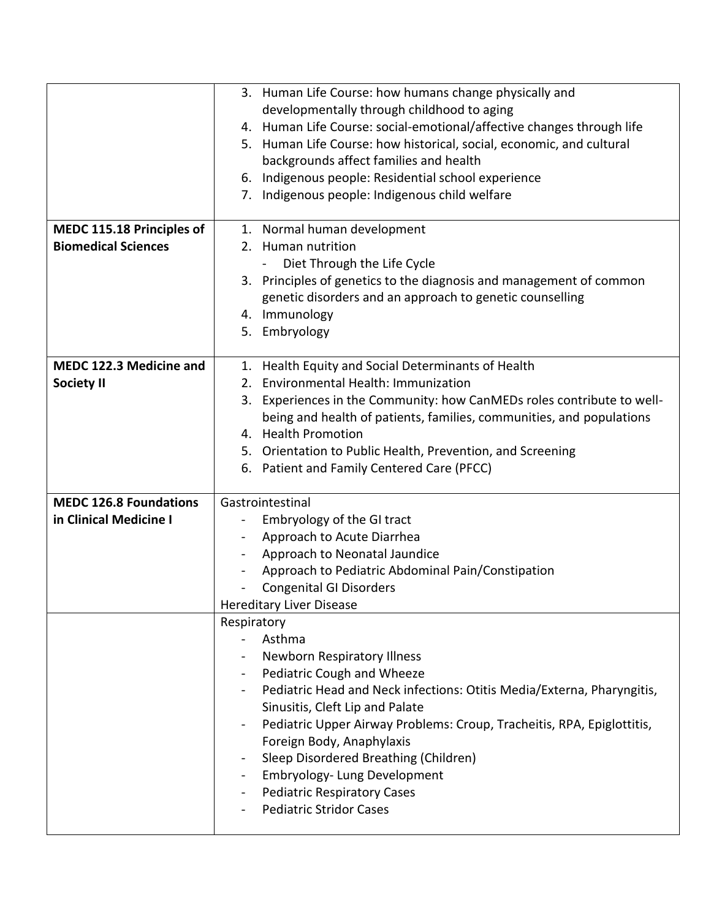|                               | 3. Human Life Course: how humans change physically and                 |
|-------------------------------|------------------------------------------------------------------------|
|                               | developmentally through childhood to aging                             |
|                               | 4. Human Life Course: social-emotional/affective changes through life  |
|                               | 5. Human Life Course: how historical, social, economic, and cultural   |
|                               | backgrounds affect families and health                                 |
|                               | 6. Indigenous people: Residential school experience                    |
|                               | 7. Indigenous people: Indigenous child welfare                         |
|                               |                                                                        |
| MEDC 115.18 Principles of     | 1. Normal human development                                            |
| <b>Biomedical Sciences</b>    | 2. Human nutrition                                                     |
|                               | Diet Through the Life Cycle                                            |
|                               | 3. Principles of genetics to the diagnosis and management of common    |
|                               | genetic disorders and an approach to genetic counselling               |
|                               | 4. Immunology                                                          |
|                               | 5. Embryology                                                          |
|                               |                                                                        |
| MEDC 122.3 Medicine and       | 1. Health Equity and Social Determinants of Health                     |
| <b>Society II</b>             | 2. Environmental Health: Immunization                                  |
|                               | 3. Experiences in the Community: how CanMEDs roles contribute to well- |
|                               | being and health of patients, families, communities, and populations   |
|                               | 4. Health Promotion                                                    |
|                               | 5. Orientation to Public Health, Prevention, and Screening             |
|                               | 6. Patient and Family Centered Care (PFCC)                             |
|                               |                                                                        |
| <b>MEDC 126.8 Foundations</b> | Gastrointestinal                                                       |
| in Clinical Medicine I        | Embryology of the GI tract                                             |
|                               | Approach to Acute Diarrhea<br>$\sim$                                   |
|                               |                                                                        |
|                               | Approach to Neonatal Jaundice                                          |
|                               | Approach to Pediatric Abdominal Pain/Constipation                      |
|                               | <b>Congenital GI Disorders</b>                                         |
|                               | <b>Hereditary Liver Disease</b>                                        |
|                               | Respiratory                                                            |
|                               | Asthma                                                                 |
|                               | <b>Newborn Respiratory Illness</b>                                     |
|                               | Pediatric Cough and Wheeze                                             |
|                               | Pediatric Head and Neck infections: Otitis Media/Externa, Pharyngitis, |
|                               | Sinusitis, Cleft Lip and Palate                                        |
|                               | Pediatric Upper Airway Problems: Croup, Tracheitis, RPA, Epiglottitis, |
|                               | Foreign Body, Anaphylaxis                                              |
|                               | Sleep Disordered Breathing (Children)                                  |
|                               | Embryology- Lung Development                                           |
|                               | <b>Pediatric Respiratory Cases</b>                                     |
|                               | <b>Pediatric Stridor Cases</b>                                         |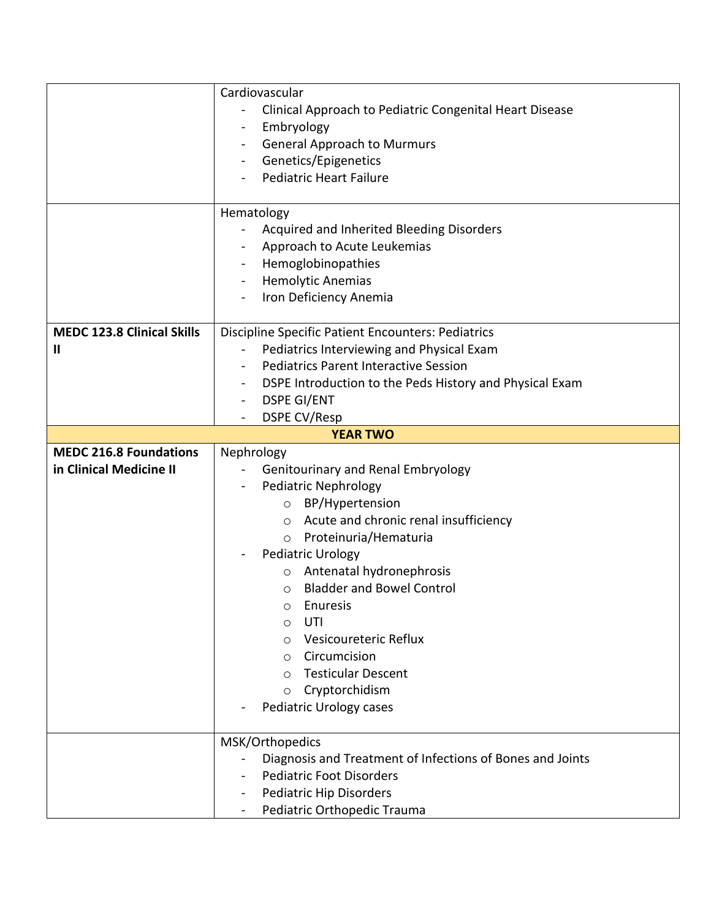|                                   | Cardiovascular                                            |
|-----------------------------------|-----------------------------------------------------------|
|                                   | Clinical Approach to Pediatric Congenital Heart Disease   |
|                                   | Embryology<br>$\blacksquare$                              |
|                                   | <b>General Approach to Murmurs</b><br>$\blacksquare$      |
|                                   | Genetics/Epigenetics                                      |
|                                   | <b>Pediatric Heart Failure</b>                            |
|                                   |                                                           |
|                                   | Hematology                                                |
|                                   | Acquired and Inherited Bleeding Disorders                 |
|                                   | Approach to Acute Leukemias                               |
|                                   | Hemoglobinopathies                                        |
|                                   | <b>Hemolytic Anemias</b><br>$\blacksquare$                |
|                                   | Iron Deficiency Anemia<br>$\blacksquare$                  |
|                                   |                                                           |
| <b>MEDC 123.8 Clinical Skills</b> | <b>Discipline Specific Patient Encounters: Pediatrics</b> |
| Ш                                 | Pediatrics Interviewing and Physical Exam                 |
|                                   | <b>Pediatrics Parent Interactive Session</b>              |
|                                   | DSPE Introduction to the Peds History and Physical Exam   |
|                                   | <b>DSPE GI/ENT</b><br>$\qquad \qquad -$                   |
|                                   | <b>DSPE CV/Resp</b>                                       |
|                                   | <b>YEAR TWO</b>                                           |
| <b>MEDC 216.8 Foundations</b>     | Nephrology                                                |
| in Clinical Medicine II           | Genitourinary and Renal Embryology                        |
|                                   | <b>Pediatric Nephrology</b><br>$\qquad \qquad -$          |
|                                   | O BP/Hypertension                                         |
|                                   | ○ Acute and chronic renal insufficiency                   |
|                                   | o Proteinuria/Hematuria                                   |
|                                   | Pediatric Urology                                         |
|                                   | Antenatal hydronephrosis<br>$\circ$                       |
|                                   | <b>Bladder and Bowel Control</b><br>$\circ$               |
|                                   | Enuresis<br>$\bigcap$                                     |
|                                   | UTI<br>O                                                  |
|                                   | Vesicoureteric Reflux<br>$\circ$                          |
|                                   | Circumcision<br>$\circ$                                   |
|                                   | <b>Testicular Descent</b><br>$\circ$                      |
|                                   | Cryptorchidism<br>$\circ$                                 |
|                                   | Pediatric Urology cases                                   |
|                                   |                                                           |
|                                   |                                                           |
|                                   | MSK/Orthopedics                                           |
|                                   | Diagnosis and Treatment of Infections of Bones and Joints |
|                                   | <b>Pediatric Foot Disorders</b>                           |
|                                   | <b>Pediatric Hip Disorders</b><br>$\blacksquare$          |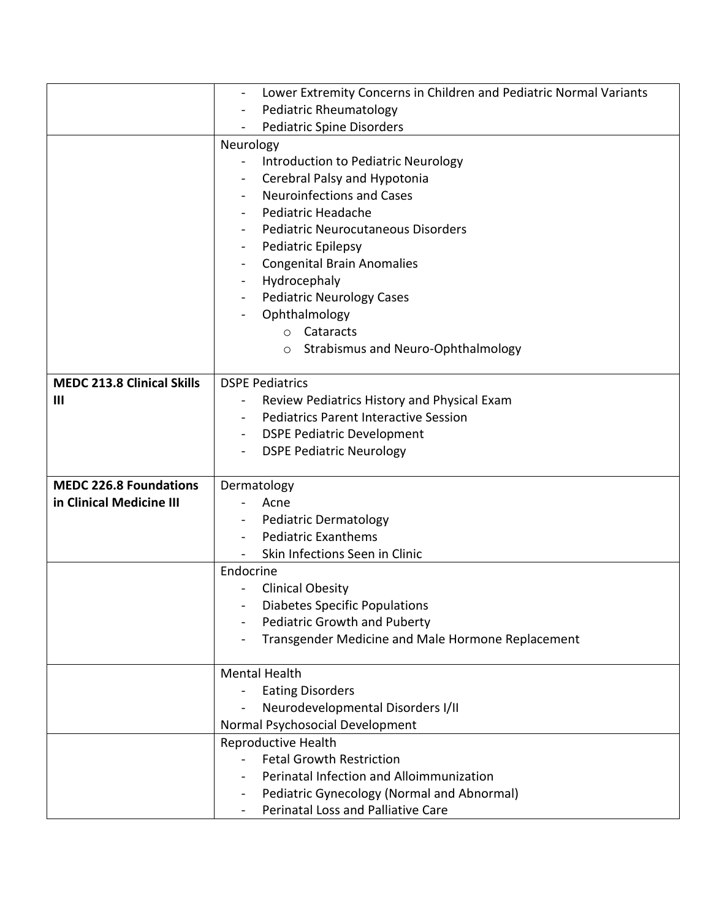|                                   | Lower Extremity Concerns in Children and Pediatric Normal Variants |
|-----------------------------------|--------------------------------------------------------------------|
|                                   | Pediatric Rheumatology                                             |
|                                   | <b>Pediatric Spine Disorders</b>                                   |
|                                   | Neurology                                                          |
|                                   | Introduction to Pediatric Neurology<br>$\blacksquare$              |
|                                   | Cerebral Palsy and Hypotonia<br>$\blacksquare$                     |
|                                   | <b>Neuroinfections and Cases</b><br>$\blacksquare$                 |
|                                   | Pediatric Headache                                                 |
|                                   | Pediatric Neurocutaneous Disorders                                 |
|                                   | Pediatric Epilepsy                                                 |
|                                   | <b>Congenital Brain Anomalies</b><br>$\qquad \qquad \blacksquare$  |
|                                   | Hydrocephaly                                                       |
|                                   | <b>Pediatric Neurology Cases</b><br>$\blacksquare$                 |
|                                   | Ophthalmology                                                      |
|                                   | o Cataracts                                                        |
|                                   | o Strabismus and Neuro-Ophthalmology                               |
|                                   |                                                                    |
| <b>MEDC 213.8 Clinical Skills</b> | <b>DSPE Pediatrics</b>                                             |
| Ш                                 | Review Pediatrics History and Physical Exam                        |
|                                   | <b>Pediatrics Parent Interactive Session</b><br>$\blacksquare$     |
|                                   | <b>DSPE Pediatric Development</b>                                  |
|                                   | <b>DSPE Pediatric Neurology</b>                                    |
|                                   |                                                                    |
| <b>MEDC 226.8 Foundations</b>     | Dermatology                                                        |
| in Clinical Medicine III          | Acne                                                               |
|                                   | <b>Pediatric Dermatology</b>                                       |
|                                   | <b>Pediatric Exanthems</b><br>$\qquad \qquad -$                    |
|                                   | Skin Infections Seen in Clinic                                     |
|                                   | Endocrine                                                          |
|                                   | <b>Clinical Obesity</b>                                            |
|                                   | Diabetes Specific Populations                                      |
|                                   | <b>Pediatric Growth and Puberty</b>                                |
|                                   | Transgender Medicine and Male Hormone Replacement                  |
|                                   |                                                                    |
|                                   | <b>Mental Health</b>                                               |
|                                   | <b>Eating Disorders</b>                                            |
|                                   | Neurodevelopmental Disorders I/II                                  |
|                                   | Normal Psychosocial Development                                    |
|                                   | Reproductive Health                                                |
|                                   | <b>Fetal Growth Restriction</b>                                    |
|                                   | Perinatal Infection and Alloimmunization                           |
|                                   | Pediatric Gynecology (Normal and Abnormal)                         |
|                                   | Perinatal Loss and Palliative Care                                 |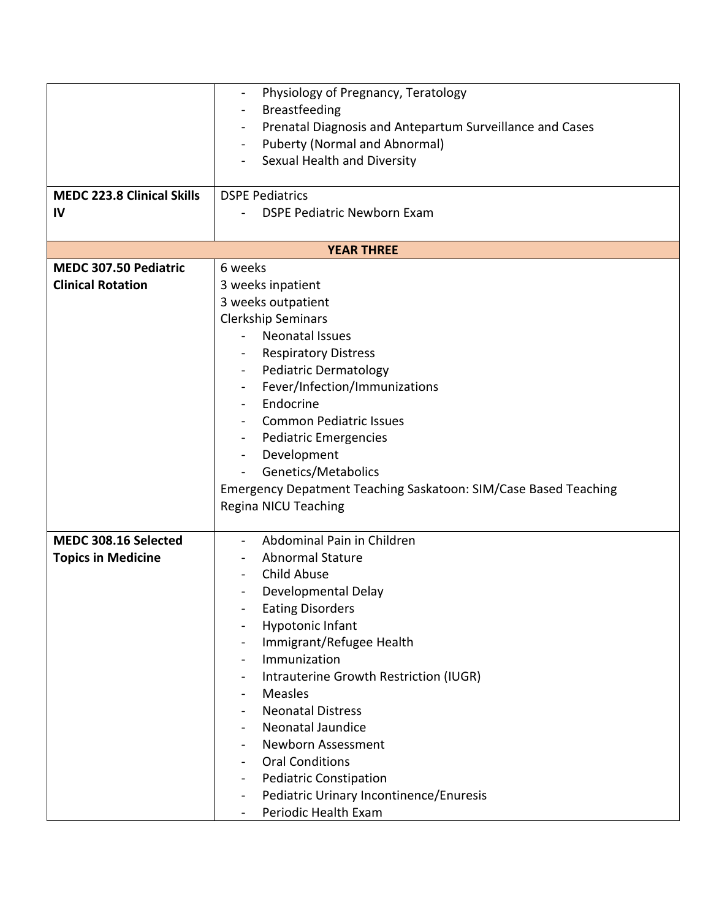|                                   | Physiology of Pregnancy, Teratology<br>$\blacksquare$                      |  |
|-----------------------------------|----------------------------------------------------------------------------|--|
|                                   | <b>Breastfeeding</b><br>$\overline{\phantom{a}}$                           |  |
|                                   | Prenatal Diagnosis and Antepartum Surveillance and Cases<br>$\blacksquare$ |  |
|                                   | <b>Puberty (Normal and Abnormal)</b>                                       |  |
|                                   | Sexual Health and Diversity                                                |  |
|                                   |                                                                            |  |
| <b>MEDC 223.8 Clinical Skills</b> | <b>DSPE Pediatrics</b>                                                     |  |
| IV                                | <b>DSPE Pediatric Newborn Exam</b>                                         |  |
|                                   |                                                                            |  |
| <b>YEAR THREE</b>                 |                                                                            |  |
| MEDC 307.50 Pediatric             | 6 weeks                                                                    |  |
| <b>Clinical Rotation</b>          | 3 weeks inpatient                                                          |  |
|                                   | 3 weeks outpatient                                                         |  |
|                                   | <b>Clerkship Seminars</b>                                                  |  |
|                                   | <b>Neonatal Issues</b>                                                     |  |
|                                   | <b>Respiratory Distress</b>                                                |  |
|                                   | Pediatric Dermatology<br>$\blacksquare$                                    |  |
|                                   | Fever/Infection/Immunizations<br>$\blacksquare$                            |  |
|                                   | Endocrine                                                                  |  |
|                                   | <b>Common Pediatric Issues</b>                                             |  |
|                                   | Pediatric Emergencies<br>$\blacksquare$                                    |  |
|                                   | Development<br>$\blacksquare$                                              |  |
|                                   | Genetics/Metabolics                                                        |  |
|                                   | Emergency Depatment Teaching Saskatoon: SIM/Case Based Teaching            |  |
|                                   | Regina NICU Teaching                                                       |  |
|                                   |                                                                            |  |
| MEDC 308.16 Selected              | Abdominal Pain in Children                                                 |  |
| <b>Topics in Medicine</b>         | <b>Abnormal Stature</b>                                                    |  |
|                                   | Child Abuse                                                                |  |
|                                   | Developmental Delay                                                        |  |
|                                   | <b>Eating Disorders</b>                                                    |  |
|                                   | <b>Hypotonic Infant</b>                                                    |  |
|                                   | Immigrant/Refugee Health<br>$\blacksquare$                                 |  |
|                                   | Immunization<br>$\blacksquare$                                             |  |
|                                   | Intrauterine Growth Restriction (IUGR)<br>$\blacksquare$                   |  |
|                                   | Measles<br>$\overline{\phantom{a}}$                                        |  |
|                                   | <b>Neonatal Distress</b><br>$\overline{\phantom{a}}$                       |  |
|                                   | Neonatal Jaundice                                                          |  |
|                                   | Newborn Assessment<br>$\blacksquare$                                       |  |
|                                   | <b>Oral Conditions</b><br>$\blacksquare$                                   |  |
|                                   | <b>Pediatric Constipation</b><br>-                                         |  |
|                                   | Pediatric Urinary Incontinence/Enuresis<br>$\blacksquare$                  |  |
|                                   | Periodic Health Exam                                                       |  |